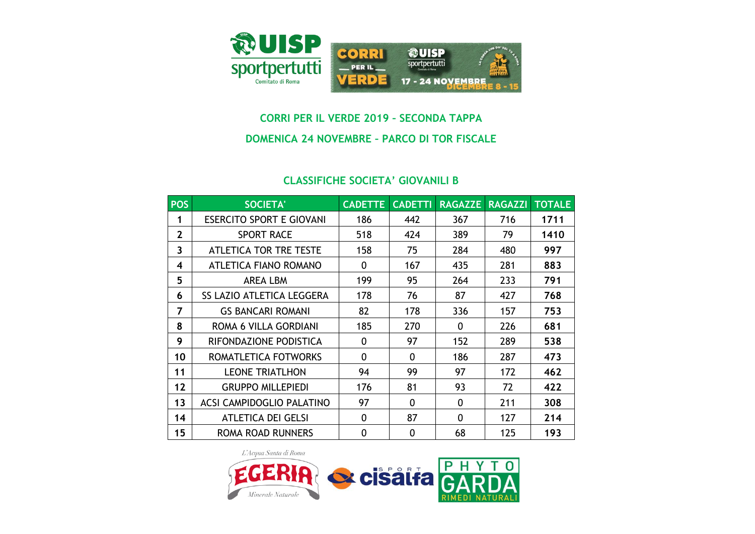

## **CORRI PER IL VERDE 2019 – SECONDA TAPPA**

## **DOMENICA 24 NOVEMBRE – PARCO DI TOR FISCALE**

## **CLASSIFICHE SOCIETA' GIOVANILI B**

| <b>POS</b>     | <b>SOCIETA'</b>                  | <b>CADETTE</b> | <b>CADETTI</b> | <b>RAGAZZE</b> | <b>RAGAZZI</b> | <b>TOTALE</b> |
|----------------|----------------------------------|----------------|----------------|----------------|----------------|---------------|
|                | <b>ESERCITO SPORT E GIOVANI</b>  | 186            | 442            | 367            | 716            | 1711          |
| $\overline{2}$ | <b>SPORT RACE</b>                | 518            | 424            | 389            | 79             | 1410          |
| 3              | <b>ATLETICA TOR TRE TESTE</b>    | 158            | 75             | 284            | 480            | 997           |
| 4              | ATLETICA FIANO ROMANO            | 0              | 167            | 435            | 281            | 883           |
| 5              | <b>AREA LBM</b>                  | 199            | 95             | 264            | 233            | 791           |
| 6              | <b>SS LAZIO ATLETICA LEGGERA</b> | 178            | 76             | 87             | 427            | 768           |
| 7              | <b>GS BANCARI ROMANI</b>         | 82             | 178            | 336            | 157            | 753           |
| 8              | ROMA 6 VILLA GORDIANI            | 185            | 270            | $\mathbf{0}$   | 226            | 681           |
| 9              | RIFONDAZIONE PODISTICA           | 0              | 97             | 152            | 289            | 538           |
| 10             | ROMATLETICA FOTWORKS             | 0              | 0              | 186            | 287            | 473           |
| 11             | <b>LEONE TRIATLHON</b>           | 94             | 99             | 97             | 172            | 462           |
| 12             | <b>GRUPPO MILLEPIEDI</b>         | 176            | 81             | 93             | 72             | 422           |
| 13             | <b>ACSI CAMPIDOGLIO PALATINO</b> | 97             | 0              | $\mathbf{0}$   | 211            | 308           |
| 14             | <b>ATLETICA DEI GELSI</b>        | 0              | 87             | 0              | 127            | 214           |
| 15             | ROMA ROAD RUNNERS                | 0              | 0              | 68             | 125            | 193           |